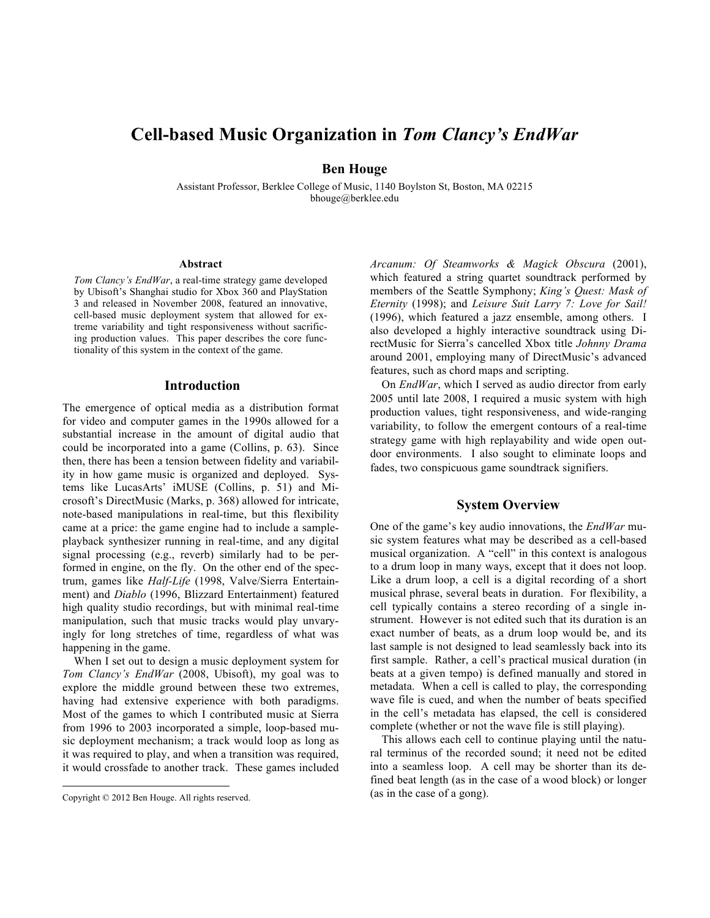# **Cell-based Music Organization in** *Tom Clancy's EndWar*

# **Ben Houge**

Assistant Professor, Berklee College of Music, 1140 Boylston St, Boston, MA 02215 bhouge@berklee.edu

#### **Abstract**

*Tom Clancy's EndWar*, a real-time strategy game developed by Ubisoft's Shanghai studio for Xbox 360 and PlayStation 3 and released in November 2008, featured an innovative, cell-based music deployment system that allowed for extreme variability and tight responsiveness without sacrificing production values. This paper describes the core functionality of this system in the context of the game.

## **Introduction**

The emergence of optical media as a distribution format for video and computer games in the 1990s allowed for a substantial increase in the amount of digital audio that could be incorporated into a game (Collins, p. 63). Since then, there has been a tension between fidelity and variability in how game music is organized and deployed. Systems like LucasArts' iMUSE (Collins, p. 51) and Microsoft's DirectMusic (Marks, p. 368) allowed for intricate, note-based manipulations in real-time, but this flexibility came at a price: the game engine had to include a sampleplayback synthesizer running in real-time, and any digital signal processing (e.g., reverb) similarly had to be performed in engine, on the fly. On the other end of the spectrum, games like *Half-Life* (1998, Valve/Sierra Entertainment) and *Diablo* (1996, Blizzard Entertainment) featured high quality studio recordings, but with minimal real-time manipulation, such that music tracks would play unvaryingly for long stretches of time, regardless of what was happening in the game.

When I set out to design a music deployment system for *Tom Clancy's EndWar* (2008, Ubisoft), my goal was to explore the middle ground between these two extremes, having had extensive experience with both paradigms. Most of the games to which I contributed music at Sierra from 1996 to 2003 incorporated a simple, loop-based music deployment mechanism; a track would loop as long as it was required to play, and when a transition was required, it would crossfade to another track. These games included

*Arcanum: Of Steamworks & Magick Obscura* (2001), which featured a string quartet soundtrack performed by members of the Seattle Symphony; *King's Quest: Mask of Eternity* (1998); and *Leisure Suit Larry 7: Love for Sail!* (1996), which featured a jazz ensemble, among others. I also developed a highly interactive soundtrack using DirectMusic for Sierra's cancelled Xbox title *Johnny Drama* around 2001, employing many of DirectMusic's advanced features, such as chord maps and scripting.

On *EndWar*, which I served as audio director from early 2005 until late 2008, I required a music system with high production values, tight responsiveness, and wide-ranging variability, to follow the emergent contours of a real-time strategy game with high replayability and wide open outdoor environments. I also sought to eliminate loops and fades, two conspicuous game soundtrack signifiers.

#### **System Overview**

One of the game's key audio innovations, the *EndWar* music system features what may be described as a cell-based musical organization. A "cell" in this context is analogous to a drum loop in many ways, except that it does not loop. Like a drum loop, a cell is a digital recording of a short musical phrase, several beats in duration. For flexibility, a cell typically contains a stereo recording of a single instrument. However is not edited such that its duration is an exact number of beats, as a drum loop would be, and its last sample is not designed to lead seamlessly back into its first sample. Rather, a cell's practical musical duration (in beats at a given tempo) is defined manually and stored in metadata. When a cell is called to play, the corresponding wave file is cued, and when the number of beats specified in the cell's metadata has elapsed, the cell is considered complete (whether or not the wave file is still playing).

This allows each cell to continue playing until the natural terminus of the recorded sound; it need not be edited into a seamless loop. A cell may be shorter than its defined beat length (as in the case of a wood block) or longer (as in the case of a gong).

Copyright © 2012 Ben Houge. All rights reserved.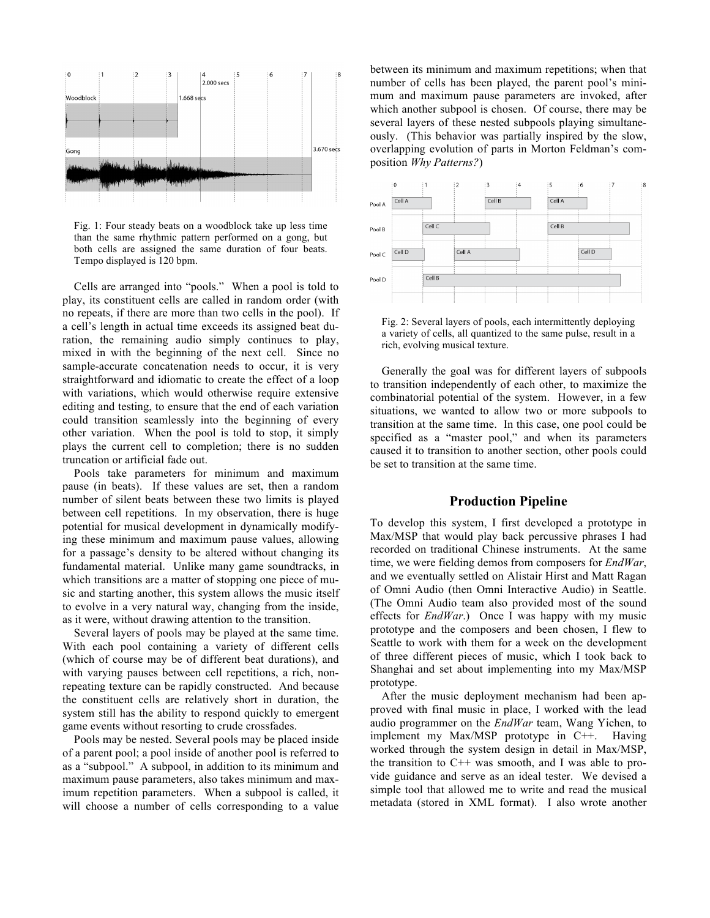

Fig. 1: Four steady beats on a woodblock take up less time than the same rhythmic pattern performed on a gong, but both cells are assigned the same duration of four beats. Tempo displayed is 120 bpm.

Cells are arranged into "pools." When a pool is told to play, its constituent cells are called in random order (with no repeats, if there are more than two cells in the pool). If a cell's length in actual time exceeds its assigned beat duration, the remaining audio simply continues to play, mixed in with the beginning of the next cell. Since no sample-accurate concatenation needs to occur, it is very straightforward and idiomatic to create the effect of a loop with variations, which would otherwise require extensive editing and testing, to ensure that the end of each variation could transition seamlessly into the beginning of every other variation. When the pool is told to stop, it simply plays the current cell to completion; there is no sudden truncation or artificial fade out.

Pools take parameters for minimum and maximum pause (in beats). If these values are set, then a random number of silent beats between these two limits is played between cell repetitions. In my observation, there is huge potential for musical development in dynamically modifying these minimum and maximum pause values, allowing for a passage's density to be altered without changing its fundamental material. Unlike many game soundtracks, in which transitions are a matter of stopping one piece of music and starting another, this system allows the music itself to evolve in a very natural way, changing from the inside, as it were, without drawing attention to the transition.

Several layers of pools may be played at the same time. With each pool containing a variety of different cells (which of course may be of different beat durations), and with varying pauses between cell repetitions, a rich, nonrepeating texture can be rapidly constructed. And because the constituent cells are relatively short in duration, the system still has the ability to respond quickly to emergent game events without resorting to crude crossfades.

Pools may be nested. Several pools may be placed inside of a parent pool; a pool inside of another pool is referred to as a "subpool." A subpool, in addition to its minimum and maximum pause parameters, also takes minimum and maximum repetition parameters. When a subpool is called, it will choose a number of cells corresponding to a value

between its minimum and maximum repetitions; when that number of cells has been played, the parent pool's minimum and maximum pause parameters are invoked, after which another subpool is chosen. Of course, there may be several layers of these nested subpools playing simultaneously. (This behavior was partially inspired by the slow, overlapping evolution of parts in Morton Feldman's composition *Why Patterns?*)



Fig. 2: Several layers of pools, each intermittently deploying a variety of cells, all quantized to the same pulse, result in a rich, evolving musical texture.

Generally the goal was for different layers of subpools to transition independently of each other, to maximize the combinatorial potential of the system. However, in a few situations, we wanted to allow two or more subpools to transition at the same time. In this case, one pool could be specified as a "master pool," and when its parameters caused it to transition to another section, other pools could be set to transition at the same time.

# **Production Pipeline**

To develop this system, I first developed a prototype in Max/MSP that would play back percussive phrases I had recorded on traditional Chinese instruments. At the same time, we were fielding demos from composers for *EndWar*, and we eventually settled on Alistair Hirst and Matt Ragan of Omni Audio (then Omni Interactive Audio) in Seattle. (The Omni Audio team also provided most of the sound effects for *EndWar*.) Once I was happy with my music prototype and the composers and been chosen, I flew to Seattle to work with them for a week on the development of three different pieces of music, which I took back to Shanghai and set about implementing into my Max/MSP prototype.

After the music deployment mechanism had been approved with final music in place, I worked with the lead audio programmer on the *EndWar* team, Wang Yichen, to implement my Max/MSP prototype in C++. Having worked through the system design in detail in Max/MSP, the transition to  $C^{++}$  was smooth, and I was able to provide guidance and serve as an ideal tester. We devised a simple tool that allowed me to write and read the musical metadata (stored in XML format). I also wrote another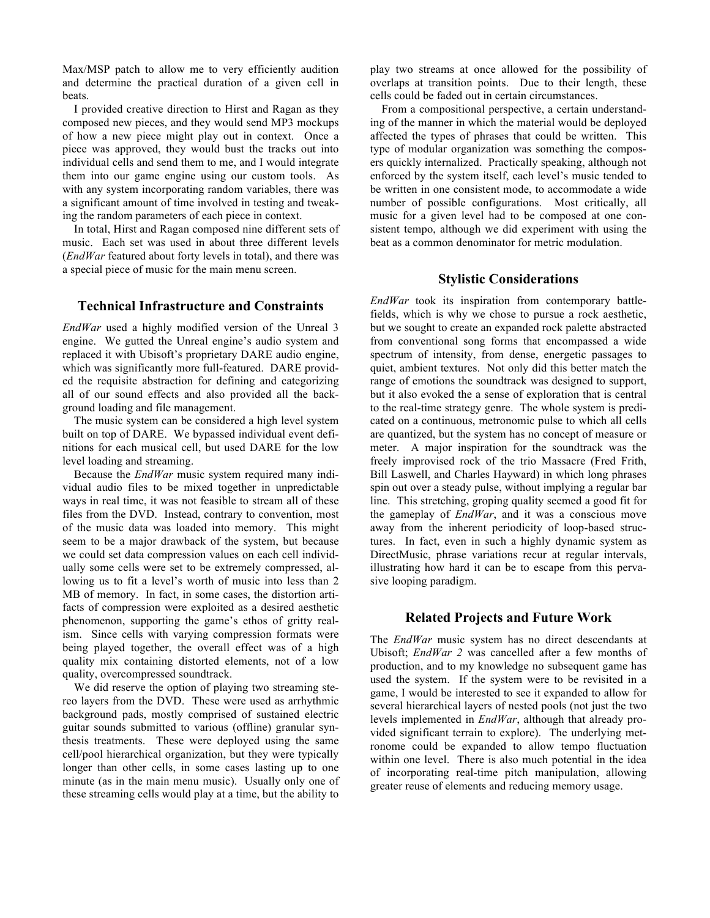Max/MSP patch to allow me to very efficiently audition and determine the practical duration of a given cell in beats.

I provided creative direction to Hirst and Ragan as they composed new pieces, and they would send MP3 mockups of how a new piece might play out in context. Once a piece was approved, they would bust the tracks out into individual cells and send them to me, and I would integrate them into our game engine using our custom tools. As with any system incorporating random variables, there was a significant amount of time involved in testing and tweaking the random parameters of each piece in context.

In total, Hirst and Ragan composed nine different sets of music. Each set was used in about three different levels (*EndWar* featured about forty levels in total), and there was a special piece of music for the main menu screen.

# **Technical Infrastructure and Constraints**

*EndWar* used a highly modified version of the Unreal 3 engine. We gutted the Unreal engine's audio system and replaced it with Ubisoft's proprietary DARE audio engine, which was significantly more full-featured. DARE provided the requisite abstraction for defining and categorizing all of our sound effects and also provided all the background loading and file management.

The music system can be considered a high level system built on top of DARE. We bypassed individual event definitions for each musical cell, but used DARE for the low level loading and streaming.

Because the *EndWar* music system required many individual audio files to be mixed together in unpredictable ways in real time, it was not feasible to stream all of these files from the DVD. Instead, contrary to convention, most of the music data was loaded into memory. This might seem to be a major drawback of the system, but because we could set data compression values on each cell individually some cells were set to be extremely compressed, allowing us to fit a level's worth of music into less than 2 MB of memory. In fact, in some cases, the distortion artifacts of compression were exploited as a desired aesthetic phenomenon, supporting the game's ethos of gritty realism. Since cells with varying compression formats were being played together, the overall effect was of a high quality mix containing distorted elements, not of a low quality, overcompressed soundtrack.

We did reserve the option of playing two streaming stereo layers from the DVD. These were used as arrhythmic background pads, mostly comprised of sustained electric guitar sounds submitted to various (offline) granular synthesis treatments. These were deployed using the same cell/pool hierarchical organization, but they were typically longer than other cells, in some cases lasting up to one minute (as in the main menu music). Usually only one of these streaming cells would play at a time, but the ability to

play two streams at once allowed for the possibility of overlaps at transition points. Due to their length, these cells could be faded out in certain circumstances.

From a compositional perspective, a certain understanding of the manner in which the material would be deployed affected the types of phrases that could be written. This type of modular organization was something the composers quickly internalized. Practically speaking, although not enforced by the system itself, each level's music tended to be written in one consistent mode, to accommodate a wide number of possible configurations. Most critically, all music for a given level had to be composed at one consistent tempo, although we did experiment with using the beat as a common denominator for metric modulation.

## **Stylistic Considerations**

*EndWar* took its inspiration from contemporary battlefields, which is why we chose to pursue a rock aesthetic, but we sought to create an expanded rock palette abstracted from conventional song forms that encompassed a wide spectrum of intensity, from dense, energetic passages to quiet, ambient textures. Not only did this better match the range of emotions the soundtrack was designed to support, but it also evoked the a sense of exploration that is central to the real-time strategy genre. The whole system is predicated on a continuous, metronomic pulse to which all cells are quantized, but the system has no concept of measure or meter. A major inspiration for the soundtrack was the freely improvised rock of the trio Massacre (Fred Frith, Bill Laswell, and Charles Hayward) in which long phrases spin out over a steady pulse, without implying a regular bar line. This stretching, groping quality seemed a good fit for the gameplay of *EndWar*, and it was a conscious move away from the inherent periodicity of loop-based structures. In fact, even in such a highly dynamic system as DirectMusic, phrase variations recur at regular intervals, illustrating how hard it can be to escape from this pervasive looping paradigm.

## **Related Projects and Future Work**

The *EndWar* music system has no direct descendants at Ubisoft; *EndWar 2* was cancelled after a few months of production, and to my knowledge no subsequent game has used the system. If the system were to be revisited in a game, I would be interested to see it expanded to allow for several hierarchical layers of nested pools (not just the two levels implemented in *EndWar*, although that already provided significant terrain to explore). The underlying metronome could be expanded to allow tempo fluctuation within one level. There is also much potential in the idea of incorporating real-time pitch manipulation, allowing greater reuse of elements and reducing memory usage.